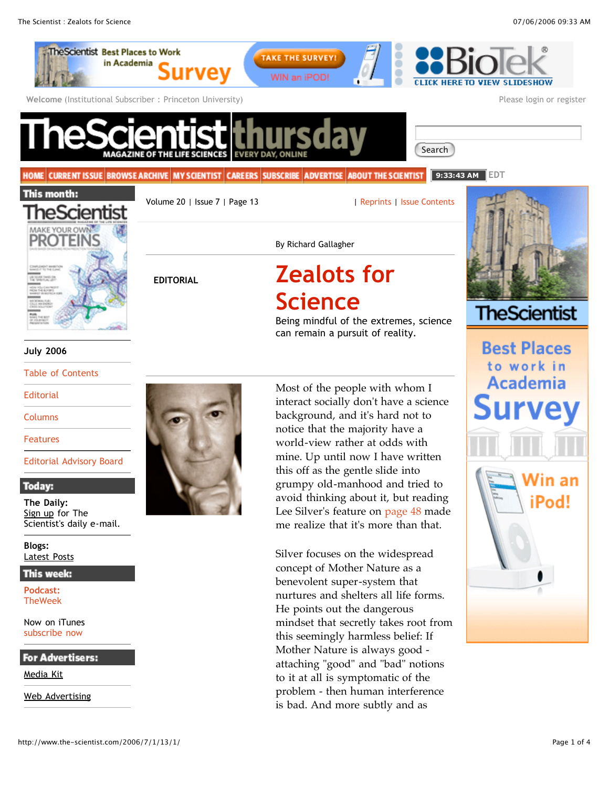

**TheWeek** 

Now on iTunes subscribe now

**For Advertisers:** 

Media Kit

Web Advertising

nurtures and shelters all life forms. He points out the dangerous mindset that secretly takes root from this seemingly harmless belief: If Mother Nature is always good attaching "good" and "bad" notions to it at all is symptomatic of the problem - then human interference is bad. And more subtly and as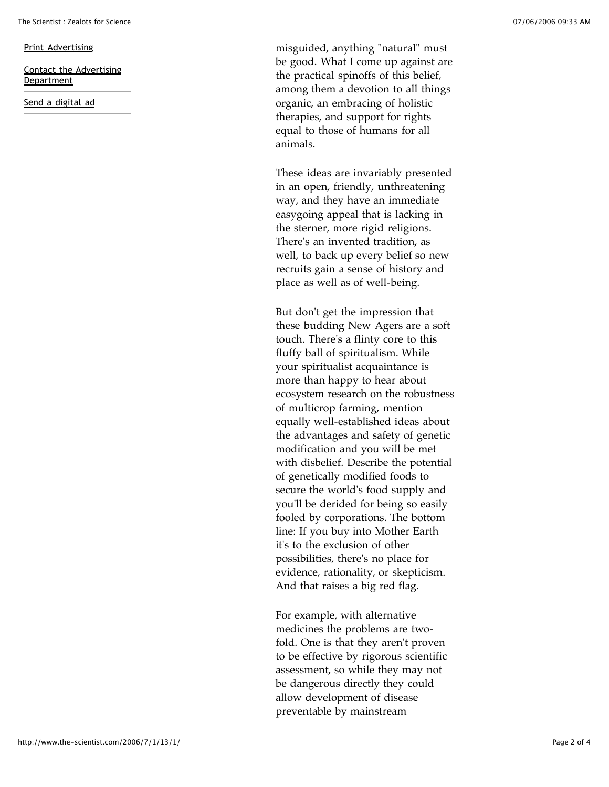## Print Advertising

Contact the Advertising Department

Send a digital ad

misguided, anything "natural" must be good. What I come up against are the practical spinoffs of this belief, among them a devotion to all things organic, an embracing of holistic therapies, and support for rights equal to those of humans for all animals.

These ideas are invariably presented in an open, friendly, unthreatening way, and they have an immediate easygoing appeal that is lacking in the sterner, more rigid religions. There's an invented tradition, as well, to back up every belief so new recruits gain a sense of history and place as well as of well -being.

But don't get the impression that these budding New Agers are a soft touch. There's a flinty core to this fluffy ball of spiritualism. While your spiritualist acquaintance is more than happy to hear about ecosystem research on the robustness of multicrop farming, mention equally well -established ideas about the advantages and safety of genetic modification and you will be met with disbelief. Describe the potential of genetically modified foods to secure the world's food supply and you'll be derided for being so easily fooled by corporations. The bottom line: If you buy into Mother Earth it's to the exclusion of other possibilities, there's no place for evidence, rationality, or skepticism. And that raises a big red flag.

For example, with alternative medicines the problems are two fold. One is that they aren't proven to be effective by rigorous scientific assessment, so while they may not be dangerous directly they could allow development of disease preventable by mainstream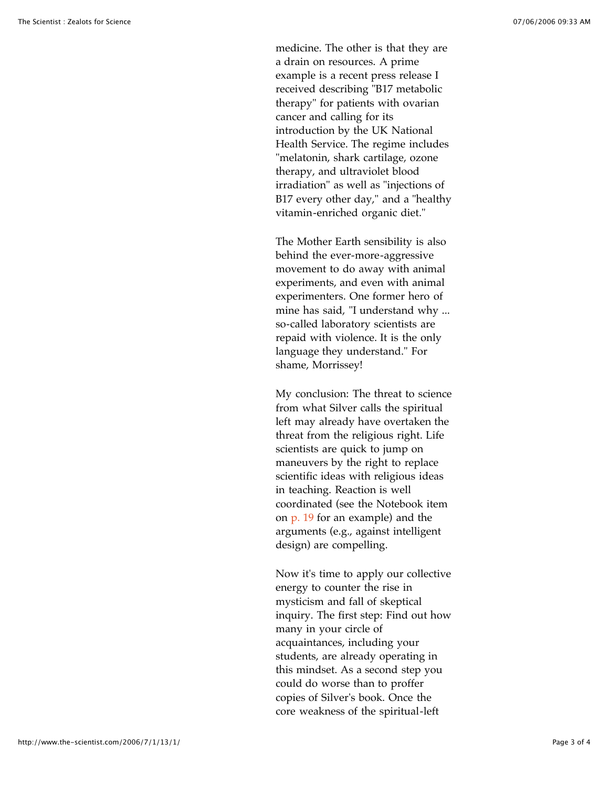medicine. The other is that they are a drain on resources. A prime example is a recent press release I received describing "B17 metabolic therapy" for patients with ovarian cancer and calling for its introduction by the UK National Health Service. The regime includes "melatonin, shark cartilage, ozone therapy, and ultraviolet blood irradiation" as well as "injections of B17 every other day," and a "healthy vitamin -enriched organic diet."

The Mother Earth sensibility is also behind the ever -more -aggressive movement to do away with animal experiments, and even with animal experimenters. One former hero of mine has said, "I understand why ... so -called laboratory scientists are repaid with violence. It is the only language they understand." For shame, Morrissey!

My conclusion: The threat to science from what Silver calls the spiritual left may already have overtaken the threat from the religious right. Life scientists are quick to jump on maneuvers by the right to replace scientific ideas with religious ideas in teaching. Reaction is well coordinated (see the Notebook item on p. 19 for an example) and the arguments (e.g., against intelligent design) are compelling.

Now it's time to apply our collective energy to counter the rise in mysticism and fall of skeptical inquiry. The first step: Find out how many in your circle of acquaintances, including your students, are already operating in this mindset. As a second step you could do worse than to proffer copies of Silver's book. Once the core weakness of the spiritual -left